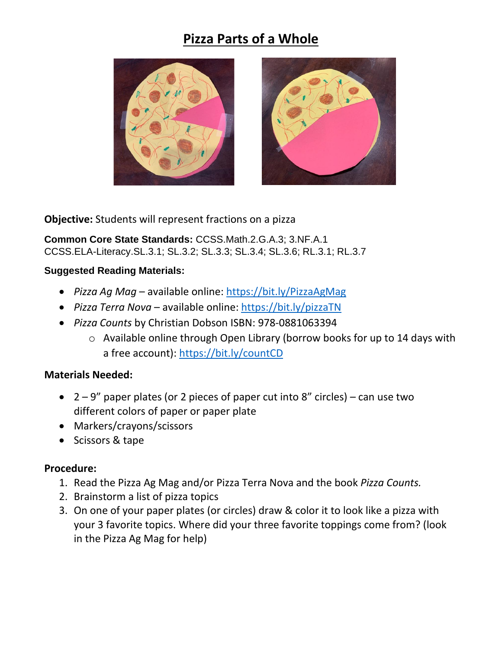## **Pizza Parts of a Whole**





**Objective:** Students will represent fractions on a pizza

**Common Core State Standards:** CCSS.Math.2.G.A.3; 3.NF.A.1 CCSS.ELA-Literacy.SL.3.1; SL.3.2; SL.3.3; SL.3.4; SL.3.6; RL.3.1; RL.3.7

## **Suggested Reading Materials:**

- *Pizza Ag Mag* available online:<https://bit.ly/PizzaAgMag>
- *Pizza Terra Nova* available online:<https://bit.ly/pizzaTN>
- *Pizza Counts* by Christian Dobson ISBN: 978-0881063394
	- o Available online through Open Library (borrow books for up to 14 days with a free account):<https://bit.ly/countCD>

## **Materials Needed:**

- $2 9$ " paper plates (or 2 pieces of paper cut into 8" circles) can use two different colors of paper or paper plate
- Markers/crayons/scissors
- Scissors & tape

## **Procedure:**

- 1. Read the Pizza Ag Mag and/or Pizza Terra Nova and the book *Pizza Counts.*
- 2. Brainstorm a list of pizza topics
- 3. On one of your paper plates (or circles) draw & color it to look like a pizza with your 3 favorite topics. Where did your three favorite toppings come from? (look in the Pizza Ag Mag for help)